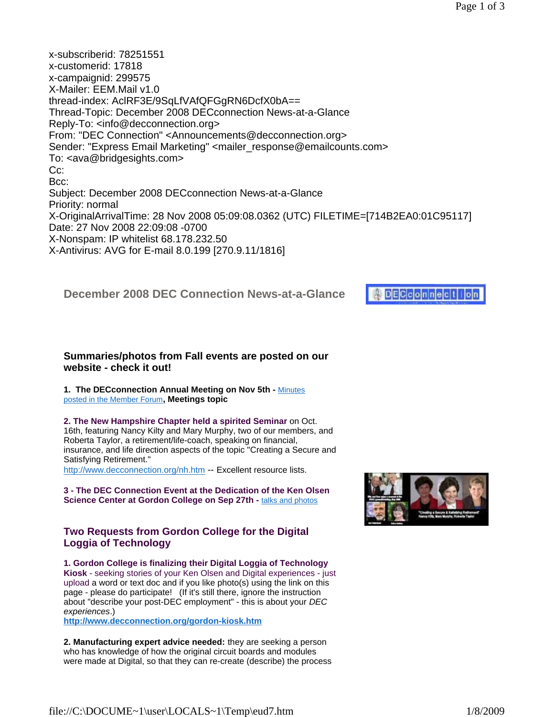# **DECconnec**

#### **Summaries/photos from Fall events are posted on our website - check it out!**

**1. The DECconnection Annual Meeting on Nov 5th -** Minutes posted in the Member Forum**, Meetings topic**

**2. The New Hampshire Chapter held a spirited Seminar** on Oct.

16th, featuring Nancy Kilty and Mary Murphy, two of our members, and Roberta Taylor, a retirement/life-coach, speaking on financial, insurance, and life direction aspects of the topic "Creating a Secure and Satisfying Retirement."

http://www.decconnection.org/nh.htm -- Excellent resource lists.

**3 - The DEC Connection Event at the Dedication of the Ken Olsen Science Center at Gordon College on Sep 27th - talks and photos** 

#### **Two Requests from Gordon College for the Digital Loggia of Technology**

**1. Gordon College is finalizing their Digital Loggia of Technology Kiosk** - seeking stories of your Ken Olsen and Digital experiences - just upload a word or text doc and if you like photo(s) using the link on this page - please do participate! (If it's still there, ignore the instruction about "describe your post-DEC employment" - this is about your *DEC experiences*.)

**http://www.decconnection.org/gordon-kiosk.htm**

**2. Manufacturing expert advice needed:** they are seeking a person who has knowledge of how the original circuit boards and modules were made at Digital, so that they can re-create (describe) the process

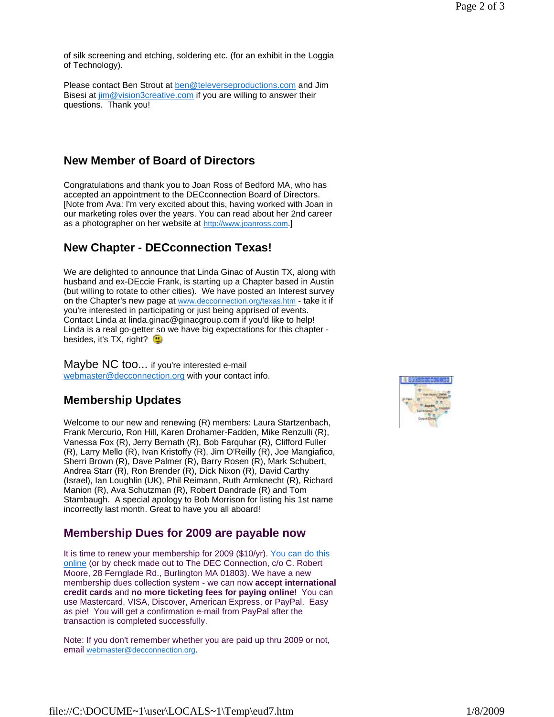of silk screening and etching, soldering etc. (for an exhibit in the Loggia of Technology).

Please contact Ben Strout at ben@televerseproductions.com and Jim Bisesi at  $\lim @$  vision3creative.com if you are willing to answer their questions. Thank you!

## **New Member of Board of Directors**

Congratulations and thank you to Joan Ross of Bedford MA, who has accepted an appointment to the DECconnection Board of Directors. [Note from Ava: I'm very excited about this, having worked with Joan in our marketing roles over the years. You can read about her 2nd career as a photographer on her website at http://www.joanross.com.]

## **New Chapter - DECconnection Texas!**

We are delighted to announce that Linda Ginac of Austin TX, along with husband and ex-DEccie Frank, is starting up a Chapter based in Austin (but willing to rotate to other cities). We have posted an Interest survey on the Chapter's new page at www.decconnection.org/texas.htm - take it if you're interested in participating or just being apprised of events. Contact Linda at linda.ginac@ginacgroup.com if you'd like to help! Linda is a real go-getter so we have big expectations for this chapter besides, it's TX, right?

Maybe NC too... if you're interested e-mail webmaster@decconnection.org with your contact info.

# **Membership Updates**

Welcome to our new and renewing (R) members: Laura Startzenbach, Frank Mercurio, Ron Hill, Karen Drohamer-Fadden, Mike Renzulli (R), Vanessa Fox (R), Jerry Bernath (R), Bob Farquhar (R), Clifford Fuller (R), Larry Mello (R), Ivan Kristoffy (R), Jim O'Reilly (R), Joe Mangiafico, Sherri Brown (R), Dave Palmer (R), Barry Rosen (R), Mark Schubert, Andrea Starr (R), Ron Brender (R), Dick Nixon (R), David Carthy (Israel), Ian Loughlin (UK), Phil Reimann, Ruth Armknecht (R), Richard Manion (R), Ava Schutzman (R), Robert Dandrade (R) and Tom Stambaugh. A special apology to Bob Morrison for listing his 1st name incorrectly last month. Great to have you all aboard!

# **Membership Dues for 2009 are payable now**

It is time to renew your membership for 2009 (\$10/yr). You can do this online (or by check made out to The DEC Connection, c/o C. Robert Moore, 28 Fernglade Rd., Burlington MA 01803). We have a new membership dues collection system - we can now **accept international credit cards** and **no more ticketing fees for paying online**! You can use Mastercard, VISA, Discover, American Express, or PayPal. Easy as pie! You will get a confirmation e-mail from PayPal after the transaction is completed successfully.

Note: If you don't remember whether you are paid up thru 2009 or not, email webmaster@decconnection.org.